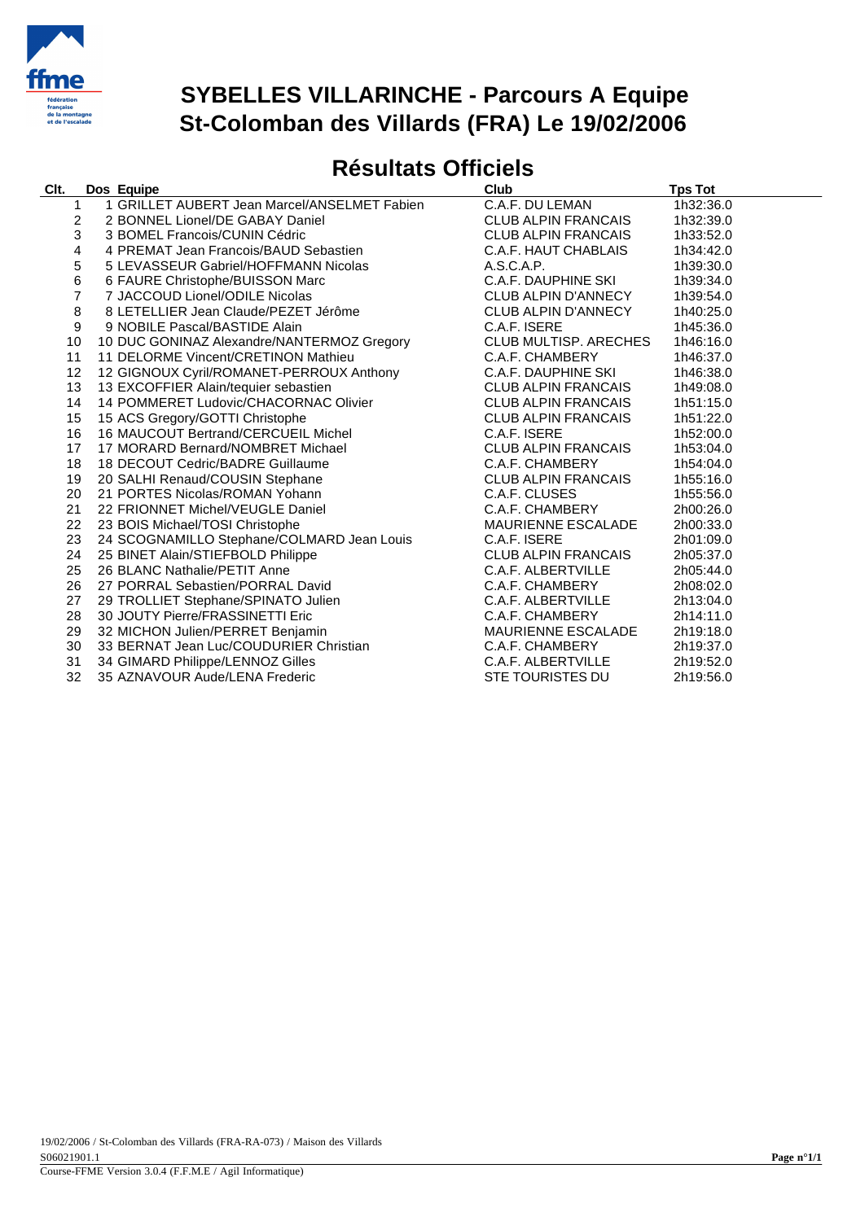

#### **SYBELLES VILLARINCHE - Parcours A Equipe St-Colomban des Villards (FRA) Le 19/02/2006**

#### **Résultats Officiels**

|                                                                                       |                                                                           | <b>Club</b>                                                                                                                                                                                                                                                                                                                                                                                                                                                                                                                                                                                                                                                                                                                                                                                                                                                                                                                                                                                                                                                                                                                                                                                                                   | <b>Tps Tot</b>                                                                                                                                                                                                                                                                                                                                                                                                                                                            |
|---------------------------------------------------------------------------------------|---------------------------------------------------------------------------|-------------------------------------------------------------------------------------------------------------------------------------------------------------------------------------------------------------------------------------------------------------------------------------------------------------------------------------------------------------------------------------------------------------------------------------------------------------------------------------------------------------------------------------------------------------------------------------------------------------------------------------------------------------------------------------------------------------------------------------------------------------------------------------------------------------------------------------------------------------------------------------------------------------------------------------------------------------------------------------------------------------------------------------------------------------------------------------------------------------------------------------------------------------------------------------------------------------------------------|---------------------------------------------------------------------------------------------------------------------------------------------------------------------------------------------------------------------------------------------------------------------------------------------------------------------------------------------------------------------------------------------------------------------------------------------------------------------------|
|                                                                                       |                                                                           | C.A.F. DU LEMAN                                                                                                                                                                                                                                                                                                                                                                                                                                                                                                                                                                                                                                                                                                                                                                                                                                                                                                                                                                                                                                                                                                                                                                                                               | 1h32:36.0                                                                                                                                                                                                                                                                                                                                                                                                                                                                 |
|                                                                                       |                                                                           | <b>CLUB ALPIN FRANCAIS</b>                                                                                                                                                                                                                                                                                                                                                                                                                                                                                                                                                                                                                                                                                                                                                                                                                                                                                                                                                                                                                                                                                                                                                                                                    | 1h32:39.0                                                                                                                                                                                                                                                                                                                                                                                                                                                                 |
|                                                                                       |                                                                           | <b>CLUB ALPIN FRANCAIS</b>                                                                                                                                                                                                                                                                                                                                                                                                                                                                                                                                                                                                                                                                                                                                                                                                                                                                                                                                                                                                                                                                                                                                                                                                    | 1h33:52.0                                                                                                                                                                                                                                                                                                                                                                                                                                                                 |
|                                                                                       |                                                                           | C.A.F. HAUT CHABLAIS                                                                                                                                                                                                                                                                                                                                                                                                                                                                                                                                                                                                                                                                                                                                                                                                                                                                                                                                                                                                                                                                                                                                                                                                          | 1h34:42.0                                                                                                                                                                                                                                                                                                                                                                                                                                                                 |
|                                                                                       |                                                                           | A.S.C.A.P.                                                                                                                                                                                                                                                                                                                                                                                                                                                                                                                                                                                                                                                                                                                                                                                                                                                                                                                                                                                                                                                                                                                                                                                                                    | 1h39:30.0                                                                                                                                                                                                                                                                                                                                                                                                                                                                 |
|                                                                                       |                                                                           | C.A.F. DAUPHINE SKI                                                                                                                                                                                                                                                                                                                                                                                                                                                                                                                                                                                                                                                                                                                                                                                                                                                                                                                                                                                                                                                                                                                                                                                                           | 1h39:34.0                                                                                                                                                                                                                                                                                                                                                                                                                                                                 |
|                                                                                       |                                                                           | CLUB ALPIN D'ANNECY                                                                                                                                                                                                                                                                                                                                                                                                                                                                                                                                                                                                                                                                                                                                                                                                                                                                                                                                                                                                                                                                                                                                                                                                           | 1h39:54.0                                                                                                                                                                                                                                                                                                                                                                                                                                                                 |
|                                                                                       |                                                                           | CLUB ALPIN D'ANNECY                                                                                                                                                                                                                                                                                                                                                                                                                                                                                                                                                                                                                                                                                                                                                                                                                                                                                                                                                                                                                                                                                                                                                                                                           | 1h40:25.0                                                                                                                                                                                                                                                                                                                                                                                                                                                                 |
|                                                                                       |                                                                           | C.A.F. ISERE                                                                                                                                                                                                                                                                                                                                                                                                                                                                                                                                                                                                                                                                                                                                                                                                                                                                                                                                                                                                                                                                                                                                                                                                                  | 1h45:36.0                                                                                                                                                                                                                                                                                                                                                                                                                                                                 |
|                                                                                       |                                                                           | <b>CLUB MULTISP. ARECHES</b>                                                                                                                                                                                                                                                                                                                                                                                                                                                                                                                                                                                                                                                                                                                                                                                                                                                                                                                                                                                                                                                                                                                                                                                                  | 1h46:16.0                                                                                                                                                                                                                                                                                                                                                                                                                                                                 |
|                                                                                       |                                                                           | C.A.F. CHAMBERY                                                                                                                                                                                                                                                                                                                                                                                                                                                                                                                                                                                                                                                                                                                                                                                                                                                                                                                                                                                                                                                                                                                                                                                                               | 1h46:37.0                                                                                                                                                                                                                                                                                                                                                                                                                                                                 |
|                                                                                       |                                                                           | C.A.F. DAUPHINE SKI                                                                                                                                                                                                                                                                                                                                                                                                                                                                                                                                                                                                                                                                                                                                                                                                                                                                                                                                                                                                                                                                                                                                                                                                           | 1h46:38.0                                                                                                                                                                                                                                                                                                                                                                                                                                                                 |
|                                                                                       |                                                                           |                                                                                                                                                                                                                                                                                                                                                                                                                                                                                                                                                                                                                                                                                                                                                                                                                                                                                                                                                                                                                                                                                                                                                                                                                               | 1h49:08.0                                                                                                                                                                                                                                                                                                                                                                                                                                                                 |
|                                                                                       |                                                                           |                                                                                                                                                                                                                                                                                                                                                                                                                                                                                                                                                                                                                                                                                                                                                                                                                                                                                                                                                                                                                                                                                                                                                                                                                               | 1h51:15.0                                                                                                                                                                                                                                                                                                                                                                                                                                                                 |
|                                                                                       |                                                                           |                                                                                                                                                                                                                                                                                                                                                                                                                                                                                                                                                                                                                                                                                                                                                                                                                                                                                                                                                                                                                                                                                                                                                                                                                               | 1h51:22.0                                                                                                                                                                                                                                                                                                                                                                                                                                                                 |
|                                                                                       |                                                                           |                                                                                                                                                                                                                                                                                                                                                                                                                                                                                                                                                                                                                                                                                                                                                                                                                                                                                                                                                                                                                                                                                                                                                                                                                               | 1h52:00.0                                                                                                                                                                                                                                                                                                                                                                                                                                                                 |
|                                                                                       |                                                                           |                                                                                                                                                                                                                                                                                                                                                                                                                                                                                                                                                                                                                                                                                                                                                                                                                                                                                                                                                                                                                                                                                                                                                                                                                               | 1h53:04.0                                                                                                                                                                                                                                                                                                                                                                                                                                                                 |
|                                                                                       |                                                                           |                                                                                                                                                                                                                                                                                                                                                                                                                                                                                                                                                                                                                                                                                                                                                                                                                                                                                                                                                                                                                                                                                                                                                                                                                               | 1h54:04.0                                                                                                                                                                                                                                                                                                                                                                                                                                                                 |
|                                                                                       |                                                                           |                                                                                                                                                                                                                                                                                                                                                                                                                                                                                                                                                                                                                                                                                                                                                                                                                                                                                                                                                                                                                                                                                                                                                                                                                               | 1h55:16.0                                                                                                                                                                                                                                                                                                                                                                                                                                                                 |
|                                                                                       |                                                                           |                                                                                                                                                                                                                                                                                                                                                                                                                                                                                                                                                                                                                                                                                                                                                                                                                                                                                                                                                                                                                                                                                                                                                                                                                               | 1h55:56.0                                                                                                                                                                                                                                                                                                                                                                                                                                                                 |
|                                                                                       |                                                                           |                                                                                                                                                                                                                                                                                                                                                                                                                                                                                                                                                                                                                                                                                                                                                                                                                                                                                                                                                                                                                                                                                                                                                                                                                               | 2h00:26.0                                                                                                                                                                                                                                                                                                                                                                                                                                                                 |
|                                                                                       |                                                                           |                                                                                                                                                                                                                                                                                                                                                                                                                                                                                                                                                                                                                                                                                                                                                                                                                                                                                                                                                                                                                                                                                                                                                                                                                               | 2h00:33.0                                                                                                                                                                                                                                                                                                                                                                                                                                                                 |
|                                                                                       |                                                                           |                                                                                                                                                                                                                                                                                                                                                                                                                                                                                                                                                                                                                                                                                                                                                                                                                                                                                                                                                                                                                                                                                                                                                                                                                               | 2h01:09.0                                                                                                                                                                                                                                                                                                                                                                                                                                                                 |
|                                                                                       |                                                                           |                                                                                                                                                                                                                                                                                                                                                                                                                                                                                                                                                                                                                                                                                                                                                                                                                                                                                                                                                                                                                                                                                                                                                                                                                               | 2h05:37.0                                                                                                                                                                                                                                                                                                                                                                                                                                                                 |
|                                                                                       |                                                                           |                                                                                                                                                                                                                                                                                                                                                                                                                                                                                                                                                                                                                                                                                                                                                                                                                                                                                                                                                                                                                                                                                                                                                                                                                               | 2h05:44.0                                                                                                                                                                                                                                                                                                                                                                                                                                                                 |
|                                                                                       |                                                                           |                                                                                                                                                                                                                                                                                                                                                                                                                                                                                                                                                                                                                                                                                                                                                                                                                                                                                                                                                                                                                                                                                                                                                                                                                               | 2h08:02.0                                                                                                                                                                                                                                                                                                                                                                                                                                                                 |
|                                                                                       |                                                                           |                                                                                                                                                                                                                                                                                                                                                                                                                                                                                                                                                                                                                                                                                                                                                                                                                                                                                                                                                                                                                                                                                                                                                                                                                               | 2h13:04.0                                                                                                                                                                                                                                                                                                                                                                                                                                                                 |
|                                                                                       |                                                                           |                                                                                                                                                                                                                                                                                                                                                                                                                                                                                                                                                                                                                                                                                                                                                                                                                                                                                                                                                                                                                                                                                                                                                                                                                               | 2h14:11.0                                                                                                                                                                                                                                                                                                                                                                                                                                                                 |
|                                                                                       |                                                                           |                                                                                                                                                                                                                                                                                                                                                                                                                                                                                                                                                                                                                                                                                                                                                                                                                                                                                                                                                                                                                                                                                                                                                                                                                               | 2h19:18.0                                                                                                                                                                                                                                                                                                                                                                                                                                                                 |
|                                                                                       |                                                                           |                                                                                                                                                                                                                                                                                                                                                                                                                                                                                                                                                                                                                                                                                                                                                                                                                                                                                                                                                                                                                                                                                                                                                                                                                               | 2h19:37.0                                                                                                                                                                                                                                                                                                                                                                                                                                                                 |
|                                                                                       |                                                                           |                                                                                                                                                                                                                                                                                                                                                                                                                                                                                                                                                                                                                                                                                                                                                                                                                                                                                                                                                                                                                                                                                                                                                                                                                               | 2h19:52.0                                                                                                                                                                                                                                                                                                                                                                                                                                                                 |
|                                                                                       |                                                                           |                                                                                                                                                                                                                                                                                                                                                                                                                                                                                                                                                                                                                                                                                                                                                                                                                                                                                                                                                                                                                                                                                                                                                                                                                               | 2h19:56.0                                                                                                                                                                                                                                                                                                                                                                                                                                                                 |
| 2<br>3<br>5<br>6<br>7<br>8<br>9<br>11<br>12<br>15<br>16<br>17<br>27<br>28<br>29<br>30 | 4<br>10<br>13<br>14<br>18<br>19<br>20<br>22<br>23<br>24<br>25<br>26<br>32 | Dos Equipe<br>1 GRILLET AUBERT Jean Marcel/ANSELMET Fabien<br>2 BONNEL Lionel/DE GABAY Daniel<br>3 BOMEL Francois/CUNIN Cédric<br>4 PREMAT Jean Francois/BAUD Sebastien<br>5 LEVASSEUR Gabriel/HOFFMANN Nicolas<br>6 FAURE Christophe/BUISSON Marc<br>7 JACCOUD Lionel/ODILE Nicolas<br>8 LETELLIER Jean Claude/PEZET Jérôme<br>9 NOBILE Pascal/BASTIDE Alain<br>10 DUC GONINAZ Alexandre/NANTERMOZ Gregory<br>11 DELORME Vincent/URE LIBOD Manuel.<br>12 GIGNOUX Cyril/ROMANET-PERROUX Anthony<br>14 POMMERET Ludovic/CHACORNAC Olivier<br>15 ACS Gregory/GOTTI Christophe<br>16 MAUCOUT Bertrand/CERCUEIL Michel<br>17 MORARD Bernard/NOMBRET Michael<br>18 DECOUT Cedric/BADRE Guillaume<br>20 SALHI Renaud/COUSIN Stephane<br>21 PORTES Nicolas/ROMAN Yohann<br>22 FRIONNET Michel/VEUGLE Daniel<br>23 BOIS Michael/TOSI Christophe<br>24 SCOGNAMILLO Stephane/COLMARD Jean Louis<br>25 BINET Alain/STIEFBOLD Philippe<br>26 BLANC Nathalie/PETIT Anne<br>27 PORRAL Sebastien/PORRAL David<br>29 TROLLIET Stephane/SPINATO Julien<br>30 JOUTY Pierre/FRASSINETTI Eric<br>32 MICHON Julien/PERRET Benjamin<br>33 BERNAT Jean Luc/COUDURIER Christian<br>34 GIMARD Philippe/LENNOZ Gilles<br>35 AZNAVOUR Aude/LENA Frederic | <b>CLUB ALPIN FRANCAIS</b><br><b>CLUB ALPIN FRANCAIS</b><br><b>CLUB ALPIN FRANCAIS</b><br>C.A.F. ISERE<br><b>CLUB ALPIN FRANCAIS</b><br>C.A.F. CHAMBERY<br><b>CLUB ALPIN FRANCAIS</b><br>C.A.F. CLUSES<br>C.A.F. CHAMBERY<br><b>MAURIENNE ESCALADE</b><br>C.A.F. ISERE<br><b>CLUB ALPIN FRANCAIS</b><br>C.A.F. ALBERTVILLE<br>C.A.F. CHAMBERY<br>C.A.F. ALBERTVILLE<br>C.A.F. CHAMBERY<br>MAURIENNE ESCALADE<br>C.A.F. CHAMBERY<br>C.A.F. ALBERTVILLE<br>STE TOURISTES DU |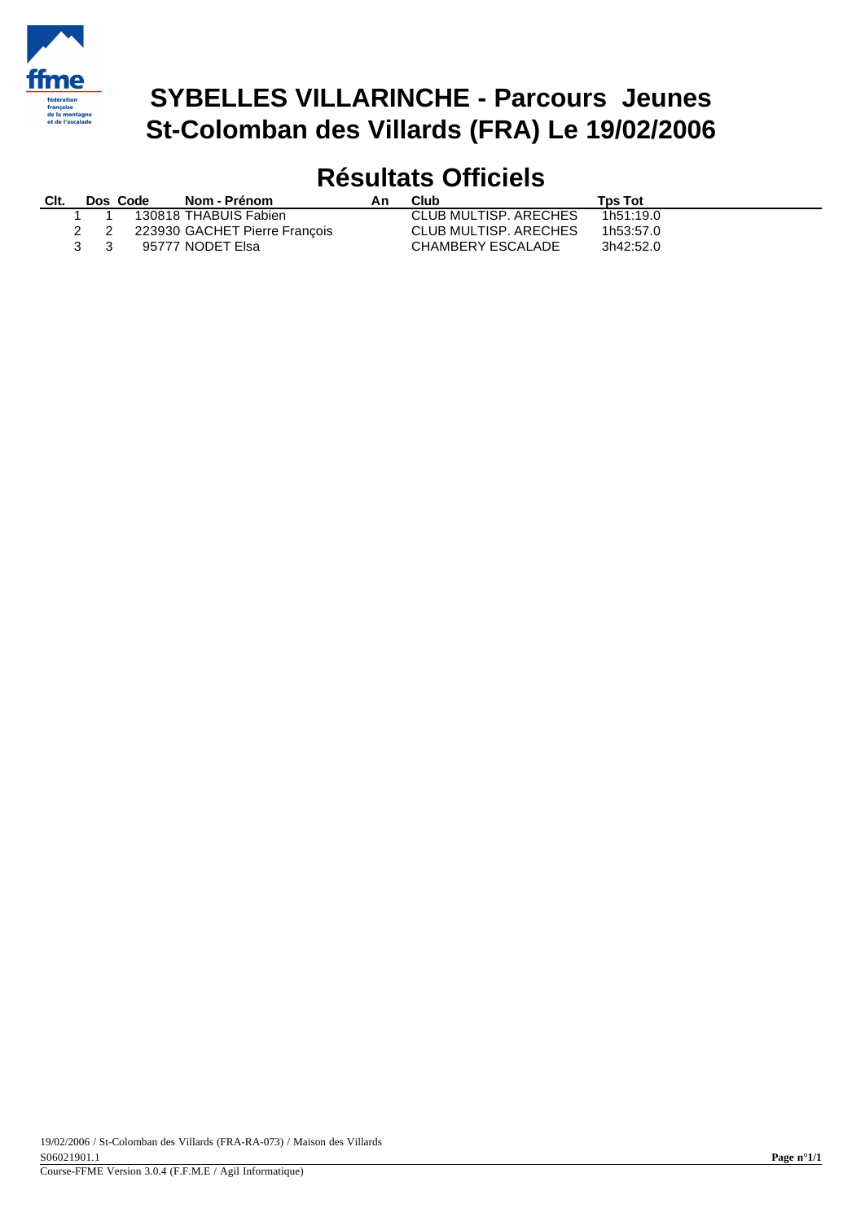

## **SYBELLES VILLARINCHE - Parcours Jeunes St-Colomban des Villards (FRA) Le 19/02/2006**

# **Résultats Officiels**

| Clt. |                               | Dos Code | Nom - Prénom                      | An. | Club                  | <b>Tps Tot</b> |
|------|-------------------------------|----------|-----------------------------------|-----|-----------------------|----------------|
|      |                               |          | 1 1 130818 THABUIS Fabien         |     | CLUB MULTISP, ARECHES | 1h51:19.0      |
|      |                               |          | 2 2 223930 GACHET Pierre François |     | CLUB MULTISP, ARECHES | 1h53:57.0      |
|      | $\mathbf{3} \quad \mathbf{3}$ |          | 95777 NODET Elsa                  |     | CHAMBERY ESCALADE     | 3h42:52.0      |